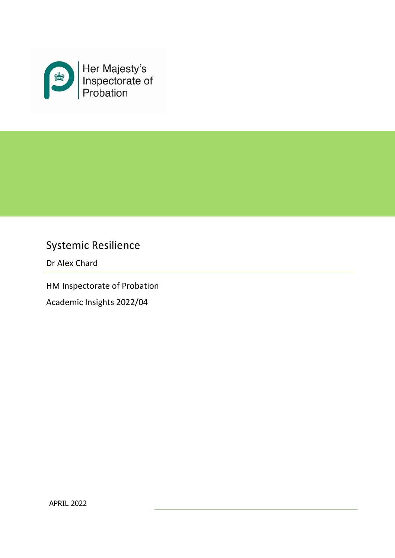

# Systemic Resilience

Dr Alex Chard

HM Inspectorate of Probation Academic Insights 2022/04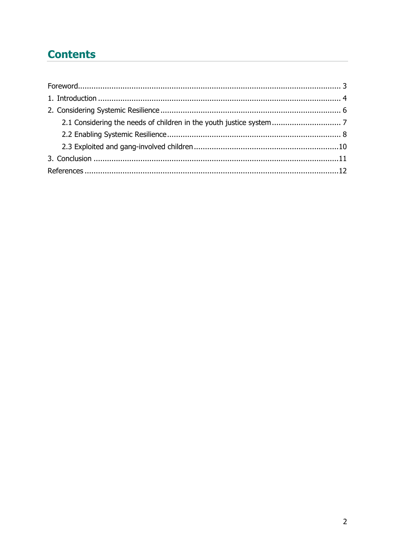# **Contents**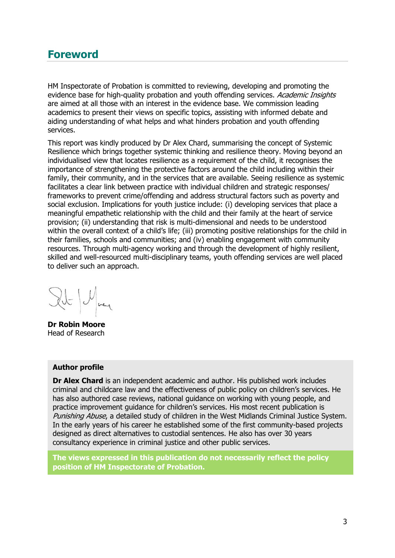### <span id="page-2-0"></span>**Foreword**

HM Inspectorate of Probation is committed to reviewing, developing and promoting the evidence base for high-quality probation and youth offending services. Academic Insights are aimed at all those with an interest in the evidence base. We commission leading academics to present their views on specific topics, assisting with informed debate and aiding understanding of what helps and what hinders probation and youth offending services.

This report was kindly produced by Dr Alex Chard, summarising the concept of Systemic Resilience which brings together systemic thinking and resilience theory. Moving beyond an individualised view that locates resilience as a requirement of the child, it recognises the importance of strengthening the protective factors around the child including within their family, their community, and in the services that are available. Seeing resilience as systemic facilitates a clear link between practice with individual children and strategic responses/ frameworks to prevent crime/offending and address structural factors such as poverty and social exclusion. Implications for youth justice include: (i) developing services that place a meaningful empathetic relationship with the child and their family at the heart of service provision; (ii) understanding that risk is multi-dimensional and needs to be understood within the overall context of a child's life; (iii) promoting positive relationships for the child in their families, schools and communities; and (iv) enabling engagement with community resources. Through multi-agency working and through the development of highly resilient, skilled and well-resourced multi-disciplinary teams, youth offending services are well placed to deliver such an approach.

**Dr Robin Moore** Head of Research

#### **Author profile**

**Dr Alex Chard** is an independent academic and author. His published work includes criminal and childcare law and the effectiveness of public policy on children's services. He has also authored case reviews, national guidance on working with young people, and practice improvement guidance for children's services. His most recent publication is Punishing Abuse, a detailed study of children in the West Midlands Criminal Justice System. In the early years of his career he established some of the first community-based projects designed as direct alternatives to custodial sentences. He also has over 30 years consultancy experience in criminal justice and other public services.

**The views expressed in this publication do not necessarily reflect the policy position of HM Inspectorate of Probation.**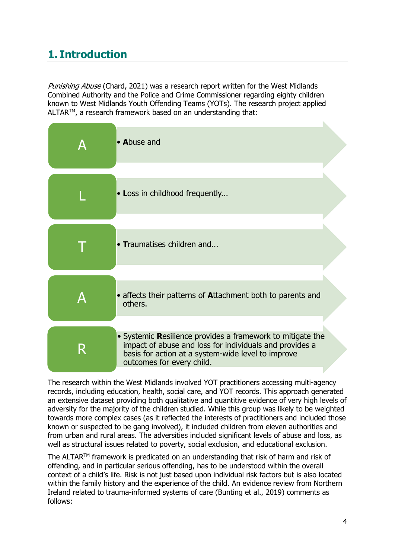## <span id="page-3-0"></span>**1. Introduction**

Punishing Abuse (Chard, 2021) was a research report written for the West Midlands Combined Authority and the Police and Crime Commissioner regarding eighty children known to West Midlands Youth Offending Teams (YOTs). The research project applied ALTAR<sup>™</sup>, a research framework based on an understanding that:

| • Abuse and                                                                                                                                                                                              |
|----------------------------------------------------------------------------------------------------------------------------------------------------------------------------------------------------------|
| • Loss in childhood frequently                                                                                                                                                                           |
| • Traumatises children and                                                                                                                                                                               |
| • affects their patterns of Attachment both to parents and<br>others.                                                                                                                                    |
| • Systemic Resilience provides a framework to mitigate the<br>impact of abuse and loss for individuals and provides a<br>basis for action at a system-wide level to improve<br>outcomes for every child. |

The research within the West Midlands involved YOT practitioners accessing multi-agency records, including education, health, social care, and YOT records. This approach generated an extensive dataset providing both qualitative and quantitive evidence of very high levels of adversity for the majority of the children studied. While this group was likely to be weighted towards more complex cases (as it reflected the interests of practitioners and included those known or suspected to be gang involved), it included children from eleven authorities and from urban and rural areas. The adversities included significant levels of abuse and loss, as well as structural issues related to poverty, social exclusion, and educational exclusion.

The ALTAR<sup>™</sup> framework is predicated on an understanding that risk of harm and risk of offending, and in particular serious offending, has to be understood within the overall context of a child's life. Risk is not just based upon individual risk factors but is also located within the family history and the experience of the child. An evidence review from Northern Ireland related to trauma-informed systems of care (Bunting et al., 2019) comments as follows: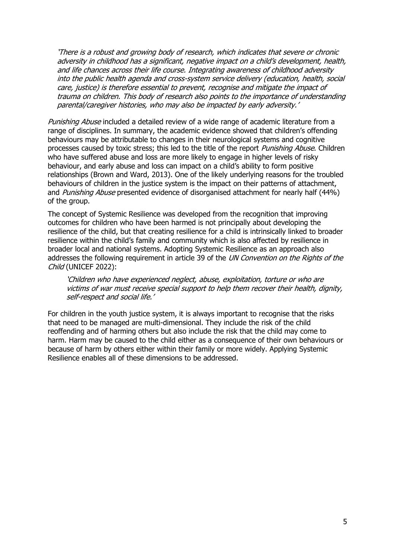'There is a robust and growing body of research, which indicates that severe or chronic adversity in childhood has a significant, negative impact on a child's development, health, and life chances across their life course. Integrating awareness of childhood adversity into the public health agenda and cross-system service delivery (education, health, social care, justice) is therefore essential to prevent, recognise and mitigate the impact of trauma on children. This body of research also points to the importance of understanding parental/caregiver histories, who may also be impacted by early adversity.'

Punishing Abuse included a detailed review of a wide range of academic literature from a range of disciplines. In summary, the academic evidence showed that children's offending behaviours may be attributable to changes in their neurological systems and cognitive processes caused by toxic stress; this led to the title of the report *Punishing Abuse*. Children who have suffered abuse and loss are more likely to engage in higher levels of risky behaviour, and early abuse and loss can impact on a child's ability to form positive relationships (Brown and Ward, 2013). One of the likely underlying reasons for the troubled behaviours of children in the justice system is the impact on their patterns of attachment, and Punishing Abuse presented evidence of disorganised attachment for nearly half (44%) of the group.

The concept of Systemic Resilience was developed from the recognition that improving outcomes for children who have been harmed is not principally about developing the resilience of the child, but that creating resilience for a child is intrinsically linked to broader resilience within the child's family and community which is also affected by resilience in broader local and national systems. Adopting Systemic Resilience as an approach also addresses the following requirement in article 39 of the UN Convention on the Rights of the Child (UNICEF 2022):

'Children who have experienced neglect, abuse, exploitation, torture or who are victims of war must receive special support to help them recover their health, dignity, self-respect and social life.'

For children in the youth justice system, it is always important to recognise that the risks that need to be managed are multi-dimensional. They include the risk of the child reoffending and of harming others but also include the risk that the child may come to harm. Harm may be caused to the child either as a consequence of their own behaviours or because of harm by others either within their family or more widely. Applying Systemic Resilience enables all of these dimensions to be addressed.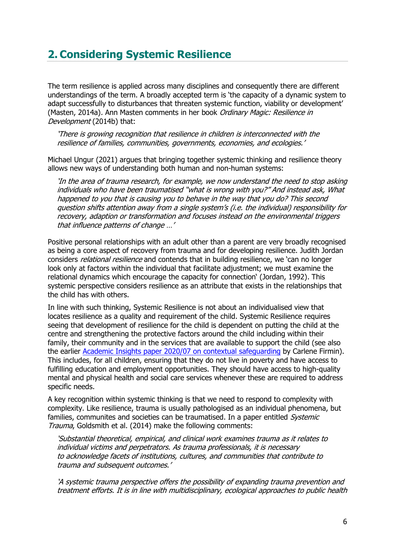## <span id="page-5-0"></span>**2. Considering Systemic Resilience**

The term resilience is applied across many disciplines and consequently there are different understandings of the term. A broadly accepted term is 'the capacity of a dynamic system to adapt successfully to disturbances that threaten systemic function, viability or development' (Masten, 2014a). Ann Masten comments in her book Ordinary Magic: Resilience in Development (2014b) that:

'There is growing recognition that resilience in children is interconnected with the resilience of families, communities, governments, economies, and ecologies.'

Michael Ungur (2021) argues that bringing together systemic thinking and resilience theory allows new ways of understanding both human and non-human systems:

'In the area of trauma research, for example, we now understand the need to stop asking individuals who have been traumatised "what is wrong with you?" And instead ask, What happened to you that is causing you to behave in the way that you do? This second question shifts attention away from a single system's (i.e. the individual) responsibility for recovery, adaption or transformation and focuses instead on the environmental triggers that influence patterns of change …'

Positive personal relationships with an adult other than a parent are very broadly recognised as being a core aspect of recovery from trauma and for developing resilience. Judith Jordan considers *relational resilience* and contends that in building resilience, we 'can no longer look only at factors within the individual that facilitate adjustment; we must examine the relational dynamics which encourage the capacity for connection' (Jordan, 1992). This systemic perspective considers resilience as an attribute that exists in the relationships that the child has with others.

In line with such thinking, Systemic Resilience is not about an individualised view that locates resilience as a quality and requirement of the child. Systemic Resilience requires seeing that development of resilience for the child is dependent on putting the child at the centre and strengthening the protective factors around the child including within their family, their community and in the services that are available to support the child (see also the earlier [Academic Insights paper 2020/07](https://www.justiceinspectorates.gov.uk/hmiprobation/wp-content/uploads/sites/5/2020/11/Academic-Insights-Contextual-Safeguarding-CF-Nov-20-for-design.pdf) on contextual safeguarding by Carlene Firmin). This includes, for all children, ensuring that they do not live in poverty and have access to fulfilling education and employment opportunities. They should have access to high-quality mental and physical health and social care services whenever these are required to address specific needs.

A key recognition within systemic thinking is that we need to respond to complexity with complexity. Like resilience, trauma is usually pathologised as an individual phenomena, but families, communites and societies can be traumatised. In a paper entitled Systemic Trauma, Goldsmith et al. (2014) make the following comments:

'Substantial theoretical, empirical, and clinical work examines trauma as it relates to individual victims and perpetrators. As trauma professionals, it is necessary to acknowledge facets of institutions, cultures, and communities that contribute to trauma and subsequent outcomes.'

'A systemic trauma perspective offers the possibility of expanding trauma prevention and treatment efforts. It is in line with multidisciplinary, ecological approaches to public health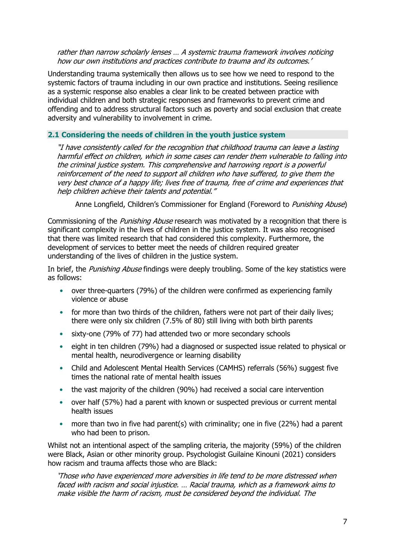rather than narrow scholarly lenses … A systemic trauma framework involves noticing how our own institutions and practices contribute to trauma and its outcomes.'

Understanding trauma systemically then allows us to see how we need to respond to the systemic factors of trauma including in our own practice and institutions. Seeing resilience as a systemic response also enables a clear link to be created between practice with individual children and both strategic responses and frameworks to prevent crime and offending and to address structural factors such as poverty and social exclusion that create adversity and vulnerability to involvement in crime.

#### <span id="page-6-0"></span>**2.1 Considering the needs of children in the youth justice system**

"I have consistently called for the recognition that childhood trauma can leave a lasting harmful effect on children, which in some cases can render them vulnerable to falling into the criminal justice system. This comprehensive and harrowing report is a powerful reinforcement of the need to support all children who have suffered, to give them the very best chance of a happy life; lives free of trauma, free of crime and experiences that help children achieve their talents and potential."

Anne Longfield, Children's Commissioner for England (Foreword to Punishing Abuse)

Commissioning of the *Punishing Abuse* research was motivated by a recognition that there is significant complexity in the lives of children in the justice system. It was also recognised that there was limited research that had considered this complexity. Furthermore, the development of services to better meet the needs of children required greater understanding of the lives of children in the justice system.

In brief, the *Punishing Abuse* findings were deeply troubling. Some of the key statistics were as follows:

- over three-quarters (79%) of the children were confirmed as experiencing family violence or abuse
- for more than two thirds of the children, fathers were not part of their daily lives; there were only six children (7.5% of 80) still living with both birth parents
- sixty-one (79% of 77) had attended two or more secondary schools
- eight in ten children (79%) had a diagnosed or suspected issue related to physical or mental health, neurodivergence or learning disability
- Child and Adolescent Mental Health Services (CAMHS) referrals (56%) suggest five times the national rate of mental health issues
- the vast majority of the children (90%) had received a social care intervention
- over half (57%) had a parent with known or suspected previous or current mental health issues
- more than two in five had parent(s) with criminality; one in five (22%) had a parent who had been to prison.

Whilst not an intentional aspect of the sampling criteria, the majority (59%) of the children were Black, Asian or other minority group. Psychologist Guilaine Kinouni (2021) considers how racism and trauma affects those who are Black:

'Those who have experienced more adversities in life tend to be more distressed when faced with racism and social injustice. … Racial trauma, which as a framework aims to make visible the harm of racism, must be considered beyond the individual. The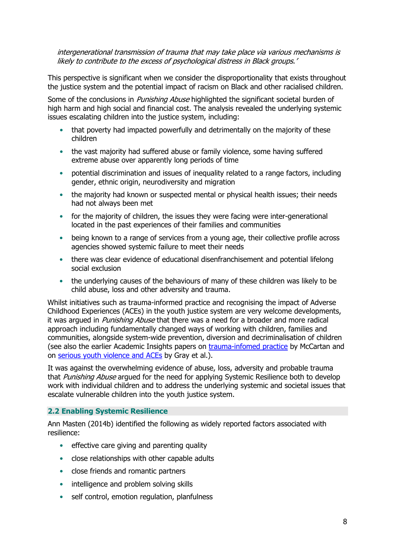intergenerational transmission of trauma that may take place via various mechanisms is likely to contribute to the excess of psychological distress in Black groups.'

This perspective is significant when we consider the disproportionality that exists throughout the justice system and the potential impact of racism on Black and other racialised children.

Some of the conclusions in *Punishing Abuse* highlighted the significant societal burden of high harm and high social and financial cost. The analysis revealed the underlying systemic issues escalating children into the justice system, including:

- that poverty had impacted powerfully and detrimentally on the majority of these children
- the vast majority had suffered abuse or family violence, some having suffered extreme abuse over apparently long periods of time
- potential discrimination and issues of inequality related to a range factors, including gender, ethnic origin, neurodiversity and migration
- the majority had known or suspected mental or physical health issues; their needs had not always been met
- for the majority of children, the issues they were facing were inter-generational located in the past experiences of their families and communities
- being known to a range of services from a young age, their collective profile across agencies showed systemic failure to meet their needs
- there was clear evidence of educational disenfranchisement and potential lifelong social exclusion
- the underlying causes of the behaviours of many of these children was likely to be child abuse, loss and other adversity and trauma.

Whilst initiatives such as trauma-informed practice and recognising the impact of Adverse Childhood Experiences (ACEs) in the youth justice system are very welcome developments, it was argued in *Punishing Abuse* that there was a need for a broader and more radical approach including fundamentally changed ways of working with children, families and communities, alongside system-wide prevention, diversion and decriminalisation of children (see also the earlier Academic Insights papers on [trauma-infomed practice](https://www.justiceinspectorates.gov.uk/hmiprobation/wp-content/uploads/sites/5/2020/07/Academic-Insights-McCartan.pdf) by McCartan and on [serious youth violence and ACEs](https://www.justiceinspectorates.gov.uk/hmiprobation/wp-content/uploads/sites/5/2021/11/Academic-Insights-Gray-et-al.pdf) by Gray et al.).

It was against the overwhelming evidence of abuse, loss, adversity and probable trauma that Punishing Abuse argued for the need for applying Systemic Resilience both to develop work with individual children and to address the underlying systemic and societal issues that escalate vulnerable children into the youth justice system.

#### <span id="page-7-0"></span>**2.2 Enabling Systemic Resilience**

Ann Masten (2014b) identified the following as widely reported factors associated with resilience:

- effective care giving and parenting quality
- close relationships with other capable adults
- close friends and romantic partners
- intelligence and problem solving skills
- self control, emotion regulation, planfulness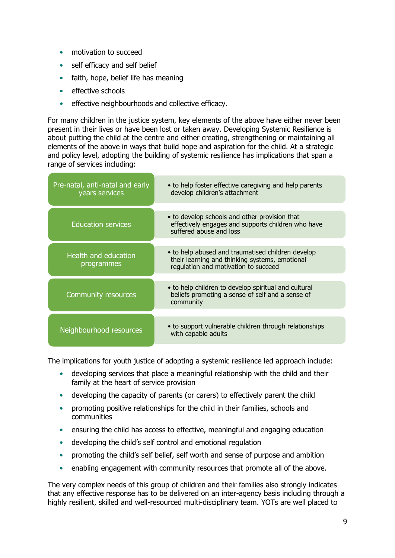- motivation to succeed
- self efficacy and self belief
- faith, hope, belief life has meaning
- effective schools
- effective neighbourhoods and collective efficacy.

For many children in the justice system, key elements of the above have either never been present in their lives or have been lost or taken away. Developing Systemic Resilience is about putting the child at the centre and either creating, strengthening or maintaining all elements of the above in ways that build hope and aspiration for the child. At a strategic and policy level, adopting the building of systemic resilience has implications that span a range of services including:

| Pre-natal, anti-natal and early<br>years services | • to help foster effective caregiving and help parents<br>develop children's attachment                                                     |
|---------------------------------------------------|---------------------------------------------------------------------------------------------------------------------------------------------|
|                                                   |                                                                                                                                             |
| <b>Education services</b>                         | • to develop schools and other provision that<br>effectively engages and supports children who have<br>suffered abuse and loss              |
|                                                   |                                                                                                                                             |
| Health and education<br>programmes                | • to help abused and traumatised children develop<br>their learning and thinking systems, emotional<br>regulation and motivation to succeed |
|                                                   |                                                                                                                                             |
| <b>Community resources</b>                        | • to help children to develop spiritual and cultural<br>beliefs promoting a sense of self and a sense of<br>community                       |
|                                                   |                                                                                                                                             |
| Neighbourhood resources                           | • to support vulnerable children through relationships<br>with capable adults                                                               |

The implications for youth justice of adopting a systemic resilience led approach include:

- developing services that place a meaningful relationship with the child and their family at the heart of service provision
- developing the capacity of parents (or carers) to effectively parent the child
- promoting positive relationships for the child in their families, schools and communities
- ensuring the child has access to effective, meaningful and engaging education
- developing the child's self control and emotional regulation
- promoting the child's self belief, self worth and sense of purpose and ambition
- enabling engagement with community resources that promote all of the above.

The very complex needs of this group of children and their families also strongly indicates that any effective response has to be delivered on an inter-agency basis including through a highly resilient, skilled and well-resourced multi-disciplinary team. YOTs are well placed to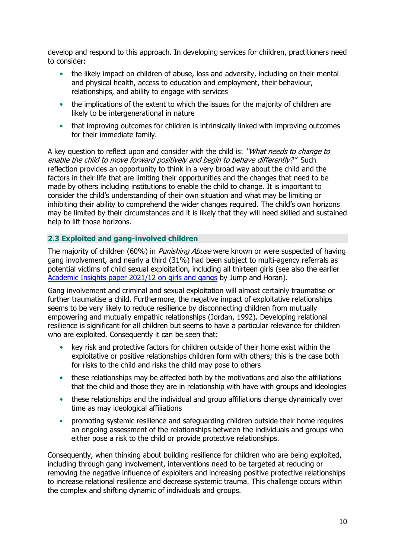develop and respond to this approach. In developing services for children, practitioners need to consider:

- the likely impact on children of abuse, loss and adversity, including on their mental and physical health, access to education and employment, their behaviour, relationships, and ability to engage with services
- the implications of the extent to which the issues for the majority of children are likely to be intergenerational in nature
- that improving outcomes for children is intrinsically linked with improving outcomes for their immediate family.

A key question to reflect upon and consider with the child is: "What needs to change to enable the child to move forward positively and begin to behave differently?" Such reflection provides an opportunity to think in a very broad way about the child and the factors in their life that are limiting their opportunities and the changes that need to be made by others including institutions to enable the child to change. It is important to consider the child's understanding of their own situation and what may be limiting or inhibiting their ability to comprehend the wider changes required. The child's own horizons may be limited by their circumstances and it is likely that they will need skilled and sustained help to lift those horizons.

#### <span id="page-9-0"></span>**2.3 Exploited and gang-involved children**

The majority of children (60%) in *Punishing Abuse* were known or were suspected of having gang involvement, and nearly a third (31%) had been subject to multi-agency referrals as potential victims of child sexual exploitation, including all thirteen girls (see also the earlier [Academic Insights paper 2021/12](https://www.justiceinspectorates.gov.uk/hmiprobation/wp-content/uploads/sites/5/2021/10/Academic-Insights-Girls-and-gangs.pdf) on girls and gangs by Jump and Horan).

Gang involvement and criminal and sexual exploitation will almost certainly traumatise or further traumatise a child. Furthermore, the negative impact of exploitative relationships seems to be very likely to reduce resilience by disconnecting children from mutually empowering and mutually empathic relationships (Jordan, 1992). Developing relational resilience is significant for all children but seems to have a particular relevance for children who are exploited. Consequently it can be seen that:

- key risk and protective factors for children outside of their home exist within the exploitative or positive relationships children form with others; this is the case both for risks to the child and risks the child may pose to others
- these relationships may be affected both by the motivations and also the affiliations that the child and those they are in relationship with have with groups and ideologies
- these relationships and the individual and group affiliations change dynamically over time as may ideological affiliations
- promoting systemic resilience and safeguarding children outside their home requires an ongoing assessment of the relationships between the individuals and groups who either pose a risk to the child or provide protective relationships.

Consequently, when thinking about building resilience for children who are being exploited, including through gang involvement, interventions need to be targeted at reducing or removing the negative influence of exploiters and increasing positive protective relationships to increase relational resilience and decrease systemic trauma. This challenge occurs within the complex and shifting dynamic of individuals and groups.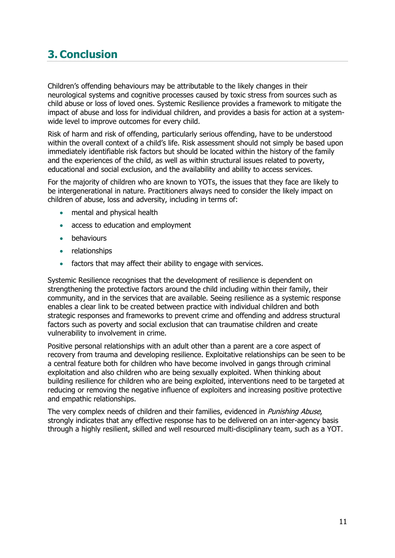## <span id="page-10-0"></span>**3. Conclusion**

Children's offending behaviours may be attributable to the likely changes in their neurological systems and cognitive processes caused by toxic stress from sources such as child abuse or loss of loved ones. Systemic Resilience provides a framework to mitigate the impact of abuse and loss for individual children, and provides a basis for action at a systemwide level to improve outcomes for every child.

Risk of harm and risk of offending, particularly serious offending, have to be understood within the overall context of a child's life. Risk assessment should not simply be based upon immediately identifiable risk factors but should be located within the history of the family and the experiences of the child, as well as within structural issues related to poverty, educational and social exclusion, and the availability and ability to access services.

For the majority of children who are known to YOTs, the issues that they face are likely to be intergenerational in nature. Practitioners always need to consider the likely impact on children of abuse, loss and adversity, including in terms of:

- mental and physical health
- access to education and employment
- behaviours
- relationships
- factors that may affect their ability to engage with services.

Systemic Resilience recognises that the development of resilience is dependent on strengthening the protective factors around the child including within their family, their community, and in the services that are available. Seeing resilience as a systemic response enables a clear link to be created between practice with individual children and both strategic responses and frameworks to prevent crime and offending and address structural factors such as poverty and social exclusion that can traumatise children and create vulnerability to involvement in crime.

Positive personal relationships with an adult other than a parent are a core aspect of recovery from trauma and developing resilience. Exploitative relationships can be seen to be a central feature both for children who have become involved in gangs through criminal exploitation and also children who are being sexually exploited. When thinking about building resilience for children who are being exploited, interventions need to be targeted at reducing or removing the negative influence of exploiters and increasing positive protective and empathic relationships.

The very complex needs of children and their families, evidenced in *Punishing Abuse*, strongly indicates that any effective response has to be delivered on an inter-agency basis through a highly resilient, skilled and well resourced multi-disciplinary team, such as a YOT.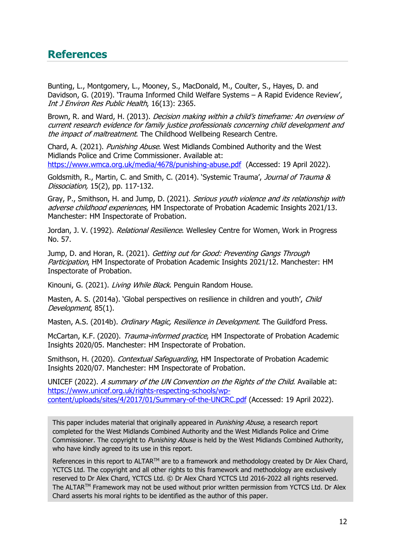### <span id="page-11-0"></span>**References**

Bunting, L., Montgomery, L., Mooney, S., MacDonald, M., Coulter, S., Hayes, D. and Davidson, G. (2019). 'Trauma Informed Child Welfare Systems – A Rapid Evidence Review', Int J Environ Res Public Health, 16(13): 2365.

Brown, R. and Ward, H. (2013). *Decision making within a child's timeframe: An overview of* current research evidence for family justice professionals concerning child development and the impact of maltreatment. The Childhood Wellbeing Research Centre.

Chard, A. (2021). Punishing Abuse. West Midlands Combined Authority and the West Midlands Police and Crime Commissioner. Available at: <https://www.wmca.org.uk/media/4678/punishing-abuse.pdf> (Accessed: 19 April 2022).

Goldsmith, R., Martin, C. and Smith, C. (2014). 'Systemic Trauma', Journal of Trauma & Dissociation, 15(2), pp. 117-132.

Gray, P., Smithson, H. and Jump, D. (2021). Serious youth violence and its relationship with adverse childhood experiences, HM Inspectorate of Probation Academic Insights 2021/13. Manchester: HM Inspectorate of Probation.

Jordan, J. V. (1992). *Relational Resilience*. Wellesley Centre for Women, Work in Progress No. 57.

Jump, D. and Horan, R. (2021). Getting out for Good: Preventing Gangs Through Participation, HM Inspectorate of Probation Academic Insights 2021/12. Manchester: HM Inspectorate of Probation.

Kinouni, G. (2021). Living While Black. Penguin Random House.

Masten, A. S. (2014a). 'Global perspectives on resilience in children and youth', Child Development, 85(1).

Masten, A.S. (2014b). Ordinary Magic, Resilience in Development. The Guildford Press.

McCartan, K.F. (2020). Trauma-informed practice, HM Inspectorate of Probation Academic Insights 2020/05. Manchester: HM Inspectorate of Probation.

Smithson, H. (2020). Contextual Safeguarding, HM Inspectorate of Probation Academic Insights 2020/07. Manchester: HM Inspectorate of Probation.

UNICEF (2022). <sup>A</sup> summary of the UN Convention on the Rights of the Child. Available at: [https://www.unicef.org.uk/rights-respecting-schools/wp](https://www.unicef.org.uk/rights-respecting-schools/wp-content/uploads/sites/4/2017/01/Summary-of-the-UNCRC.pdf)[content/uploads/sites/4/2017/01/Summary-of-the-UNCRC.pdf](https://www.unicef.org.uk/rights-respecting-schools/wp-content/uploads/sites/4/2017/01/Summary-of-the-UNCRC.pdf) (Accessed: 19 April 2022).

This paper includes material that originally appeared in *Punishing Abuse*, a research report completed for the West Midlands Combined Authority and the West Midlands Police and Crime Commissioner. The copyright to *Punishing Abuse* is held by the West Midlands Combined Authority, who have kindly agreed to its use in this report.

References in this report to ALTAR<sup>™</sup> are to a framework and methodology created by Dr Alex Chard, YCTCS Ltd. The copyright and all other rights to this framework and methodology are exclusively reserved to Dr Alex Chard, YCTCS Ltd. © Dr Alex Chard YCTCS Ltd 2016-2022 all rights reserved. The ALTARTM Framework may not be used without prior written permission from YCTCS Ltd. Dr Alex Chard asserts his moral rights to be identified as the author of this paper.